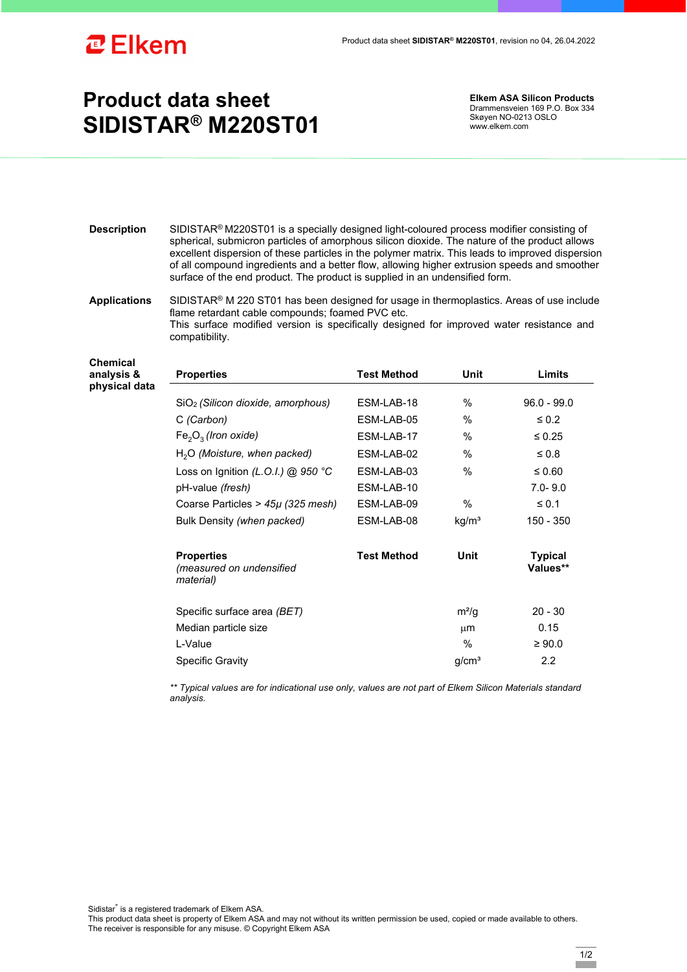

## **Product data sheet SIDISTAR® M220ST01**

**Elkem ASA Silicon Products**  Drammensveien 169 P.O. Box 334 Skøyen NO-0213 OSLO www.elkem.com

- **Description** SIDISTAR® M220ST01 is a specially designed light-coloured process modifier consisting of spherical, submicron particles of amorphous silicon dioxide. The nature of the product allows excellent dispersion of these particles in the polymer matrix. This leads to improved dispersion of all compound ingredients and a better flow, allowing higher extrusion speeds and smoother surface of the end product. The product is supplied in an undensified form.
- **Applications** SIDISTAR® M 220 ST01 has been designed for usage in thermoplastics. Areas of use include flame retardant cable compounds; foamed PVC etc. This surface modified version is specifically designed for improved water resistance and compatibility.

**Properties Test Method Unit Limits**

**Chemical analysis &**  physical d

| lata |                                                            |                    |                   |                            |
|------|------------------------------------------------------------|--------------------|-------------------|----------------------------|
|      | SiO <sub>2</sub> (Silicon dioxide, amorphous)              | ESM-LAB-18         | $\%$              | $96.0 - 99.0$              |
|      | C (Carbon)                                                 | ESM-LAB-05         | %                 | $\leq 0.2$                 |
|      | $Fe2O3$ (Iron oxide)                                       | ESM-LAB-17         | %                 | $\leq 0.25$                |
|      | $H2O$ (Moisture, when packed)                              | ESM-LAB-02         | $\%$              | $\leq 0.8$                 |
|      | Loss on Ignition (L.O.I.) @ 950 °C                         | ESM-LAB-03         | %                 | ≤ 0.60                     |
|      | pH-value (fresh)                                           | ESM-LAB-10         |                   | $7.0 - 9.0$                |
|      | Coarse Particles > $45\mu$ (325 mesh)                      | ESM-LAB-09         | $\%$              | $\leq 0.1$                 |
|      | Bulk Density (when packed)                                 | ESM-LAB-08         | kg/m <sup>3</sup> | 150 - 350                  |
|      | <b>Properties</b><br>(measured on undensified<br>material) | <b>Test Method</b> | Unit              | <b>Typical</b><br>Values** |
|      | Specific surface area (BET)                                |                    | $m^2/g$           | $20 - 30$                  |
|      | Median particle size                                       |                    | $\mu$ m           | 0.15                       |
|      | L-Value                                                    |                    | %                 | $\geq 90.0$                |
|      | <b>Specific Gravity</b>                                    |                    | g/cm <sup>3</sup> | $2.2\phantom{0}$           |

*\*\* Typical values are for indicational use only, values are not part of Elkem Silicon Materials standard analysis.* 

Sidistar® is a registered trademark of Elkem ASA.

This product data sheet is property of Elkem ASA and may not without its written permission be used, copied or made available to others. The receiver is responsible for any misuse. © Copyright Elkem ASA